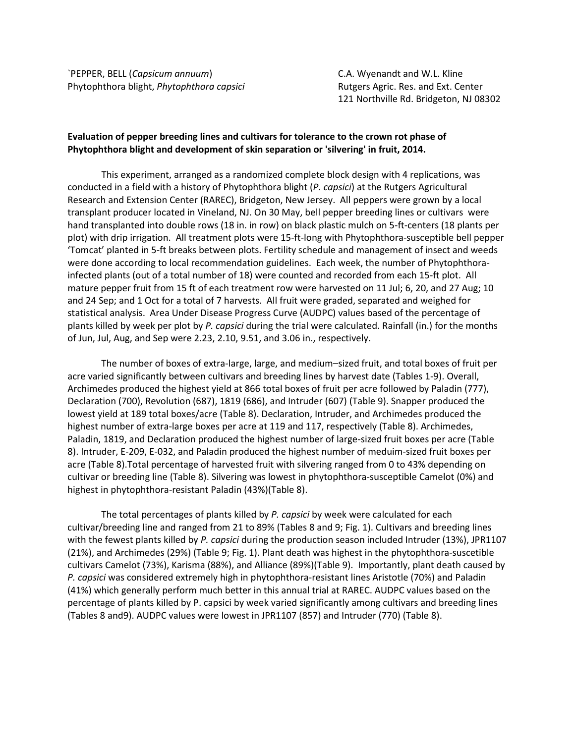`PEPPER, BELL (*Capsicum annuum*) C.A. Wyenandt and W.L. Kline Phytophthora blight, *Phytophthora capsici* **Rutgers Agric. Res. and Ext. Center** 

121 Northville Rd. Bridgeton, NJ 08302

## **Evaluation of pepper breeding lines and cultivars for tolerance to the crown rot phase of Phytophthora blight and development of skin separation or 'silvering' in fruit, 2014.**

This experiment, arranged as a randomized complete block design with 4 replications, was conducted in a field with a history of Phytophthora blight (*P. capsici*) at the Rutgers Agricultural Research and Extension Center (RAREC), Bridgeton, New Jersey. All peppers were grown by a local transplant producer located in Vineland, NJ. On 30 May, bell pepper breeding lines or cultivars were hand transplanted into double rows (18 in. in row) on black plastic mulch on 5-ft-centers (18 plants per plot) with drip irrigation. All treatment plots were 15-ft-long with Phytophthora-susceptible bell pepper 'Tomcat' planted in 5-ft breaks between plots. Fertility schedule and management of insect and weeds were done according to local recommendation guidelines. Each week, the number of Phytophthorainfected plants (out of a total number of 18) were counted and recorded from each 15-ft plot. All mature pepper fruit from 15 ft of each treatment row were harvested on 11 Jul; 6, 20, and 27 Aug; 10 and 24 Sep; and 1 Oct for a total of 7 harvests. All fruit were graded, separated and weighed for statistical analysis. Area Under Disease Progress Curve (AUDPC) values based of the percentage of plants killed by week per plot by *P. capsici* during the trial were calculated. Rainfall (in.) for the months of Jun, Jul, Aug, and Sep were 2.23, 2.10, 9.51, and 3.06 in., respectively.

The number of boxes of extra-large, large, and medium–sized fruit, and total boxes of fruit per acre varied significantly between cultivars and breeding lines by harvest date (Tables 1-9). Overall, Archimedes produced the highest yield at 866 total boxes of fruit per acre followed by Paladin (777), Declaration (700), Revolution (687), 1819 (686), and Intruder (607) (Table 9). Snapper produced the lowest yield at 189 total boxes/acre (Table 8). Declaration, Intruder, and Archimedes produced the highest number of extra-large boxes per acre at 119 and 117, respectively (Table 8). Archimedes, Paladin, 1819, and Declaration produced the highest number of large-sized fruit boxes per acre (Table 8). Intruder, E-209, E-032, and Paladin produced the highest number of meduim-sized fruit boxes per acre (Table 8).Total percentage of harvested fruit with silvering ranged from 0 to 43% depending on cultivar or breeding line (Table 8). Silvering was lowest in phytophthora-susceptible Camelot (0%) and highest in phytophthora-resistant Paladin (43%)(Table 8).

The total percentages of plants killed by *P. capsici* by week were calculated for each cultivar/breeding line and ranged from 21 to 89% (Tables 8 and 9; Fig. 1). Cultivars and breeding lines with the fewest plants killed by *P. capsici* during the production season included Intruder (13%), JPR1107 (21%), and Archimedes (29%) (Table 9; Fig. 1). Plant death was highest in the phytophthora-suscetible cultivars Camelot (73%), Karisma (88%), and Alliance (89%)(Table 9). Importantly, plant death caused by *P. capsici* was considered extremely high in phytophthora-resistant lines Aristotle (70%) and Paladin (41%) which generally perform much better in this annual trial at RAREC. AUDPC values based on the percentage of plants killed by P. capsici by week varied significantly among cultivars and breeding lines (Tables 8 and9). AUDPC values were lowest in JPR1107 (857) and Intruder (770) (Table 8).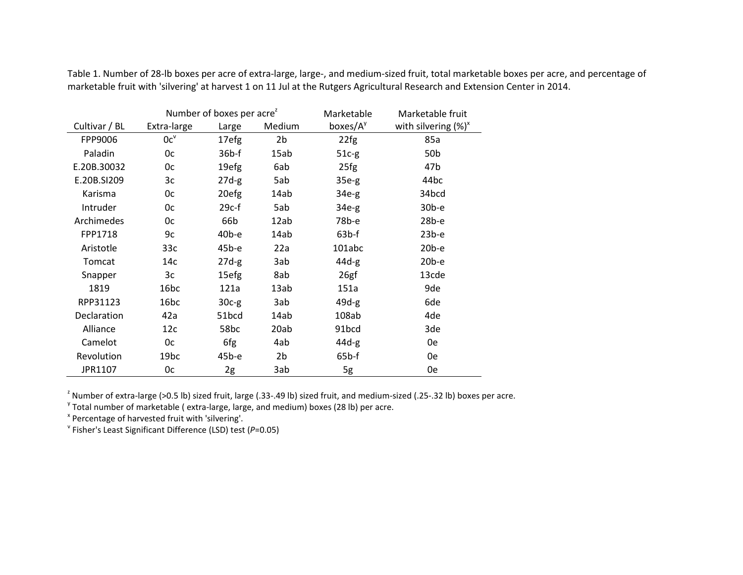|               |                  | Number of boxes per acre <sup>z</sup> |                | Marketable           | Marketable fruit        |
|---------------|------------------|---------------------------------------|----------------|----------------------|-------------------------|
| Cultivar / BL | Extra-large      | Large                                 | Medium         | boxes/A <sup>y</sup> | with silvering $(\%)^x$ |
| FPP9006       | $0c^v$           | 17efg                                 | 2 <sub>b</sub> | 22fg                 | 85a                     |
| Paladin       | 0c               | $36b$ -f                              | 15ab           | $51c-g$              | 50 <sub>b</sub>         |
| E.20B.30032   | 0c               | 19efg                                 | 6ab            | 25fg                 | 47b                     |
| E.20B.SI209   | 3c               | $27d-g$                               | 5ab            | $35e-g$              | 44 <sub>bc</sub>        |
| Karisma       | 0c               | 20efg                                 | 14ab           | $34e-g$              | 34bcd                   |
| Intruder      | 0c               | $29c-f$                               | 5ab            | $34e-g$              | $30b-e$                 |
| Archimedes    | 0c               | 66b                                   | 12ab           | 78b-е                | $28b-e$                 |
| FPP1718       | 9c               | $40b-e$                               | 14ab           | $63b$ -f             | $23b-e$                 |
| Aristotle     | 33c              | $45b-e$                               | 22a            | 101abc               | $20b-e$                 |
| Tomcat        | 14с              | $27d-g$                               | 3ab            | $44d-g$              | $20b-e$                 |
| Snapper       | 3c               | 15efg                                 | 8ab            | 26gf                 | 13cde                   |
| 1819          | 16bc             | 121a                                  | 13ab           | 151a                 | 9de                     |
| RPP31123      | 16 <sub>bc</sub> | $30c-g$                               | 3ab            | $49d-g$              | 6de                     |
| Declaration   | 42a              | 51bcd                                 | 14ab           | 108ab                | 4de                     |
| Alliance      | 12c              | 58bc                                  | 20ab           | 91bcd                | 3de                     |
| Camelot       | 0c               | 6fg                                   | 4ab            | $44d-g$              | 0e                      |
| Revolution    | 19 <sub>bc</sub> | 45b-e                                 | 2 <sub>b</sub> | $65b$ -f             | 0e                      |
| JPR1107       | 0c               | 2g                                    | 3ab            | 5g                   | 0e                      |

Table 1. Number of 28-lb boxes per acre of extra-large, large-, and medium-sized fruit, total marketable boxes per acre, and percentage of marketable fruit with 'silvering' at harvest 1 on 11 Jul at the Rutgers Agricultural Research and Extension Center in 2014.

<sup>2</sup> Number of extra-large (>0.5 lb) sized fruit, large (.33-.49 lb) sized fruit, and medium-sized (.25-.32 lb) boxes per acre.

<sup>y</sup> Total number of marketable (extra-large, large, and medium) boxes (28 lb) per acre.<br><sup>\*</sup> Percentage of harvested fruit with 'silvering'.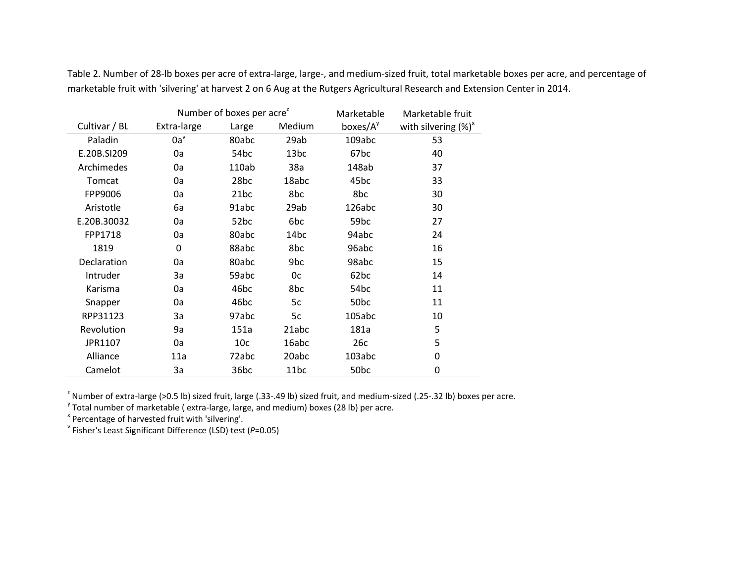|               |             | Number of boxes per acre <sup>2</sup> |        | Marketable       | Marketable fruit        |
|---------------|-------------|---------------------------------------|--------|------------------|-------------------------|
| Cultivar / BL | Extra-large | Large                                 | Medium | boxes/ $A^y$     | with silvering $(\%)^x$ |
| Paladin       | $0a^v$      | 80abc                                 | 29ab   | 109abc           | 53                      |
| E.20B.SI209   | 0a          | 54bc                                  | 13bc   | 67 <sub>bc</sub> | 40                      |
| Archimedes    | 0a          | 110ab                                 | 38a    | 148ab            | 37                      |
| Tomcat        | 0a          | 28bc                                  | 18abc  | 45bc             | 33                      |
| FPP9006       | 0a          | 21bc                                  | 8bc    | 8bc              | 30                      |
| Aristotle     | 6a          | 91abc                                 | 29ab   | 126abc           | 30                      |
| E.20B.30032   | 0a          | 52bc                                  | 6bc    | 59 <sub>bc</sub> | 27                      |
| FPP1718       | 0a          | 80abc                                 | 14bc   | 94abc            | 24                      |
| 1819          | 0           | 88abc                                 | 8bc    | 96abc            | 16                      |
| Declaration   | 0a          | 80abc                                 | 9bc    | 98abc            | 15                      |
| Intruder      | 3a          | 59abc                                 | 0c     | 62 <sub>bc</sub> | 14                      |
| Karisma       | 0a          | 46 <sub>bc</sub>                      | 8bc    | 54 <sub>bc</sub> | 11                      |
| Snapper       | 0a          | 46bc                                  | 5c     | 50 <sub>bc</sub> | 11                      |
| RPP31123      | 3a          | 97abc                                 | 5c     | 105abc           | 10                      |
| Revolution    | 9a          | 151a                                  | 21abc  | 181a             | 5                       |
| JPR1107       | 0a          | 10 <sub>c</sub>                       | 16abc  | 26c              | 5                       |
| Alliance      | 11a         | 72abc                                 | 20abc  | 103abc           | 0                       |
| Camelot       | За          | 36 <sub>bc</sub>                      | 11bc   | 50 <sub>bc</sub> | 0                       |

Table 2. Number of 28-lb boxes per acre of extra-large, large-, and medium-sized fruit, total marketable boxes per acre, and percentage of marketable fruit with 'silvering' at harvest 2 on 6 Aug at the Rutgers Agricultural Research and Extension Center in 2014.

<sup>z</sup> Number of extra-large (>0.5 lb) sized fruit, large (.33-.49 lb) sized fruit, and medium-sized (.25-.32 lb) boxes per acre.<br><sup>y</sup> Total number of marketable ( extra-large, large, and medium) boxes (28 lb) per acre.<br><sup>x</sup> Pe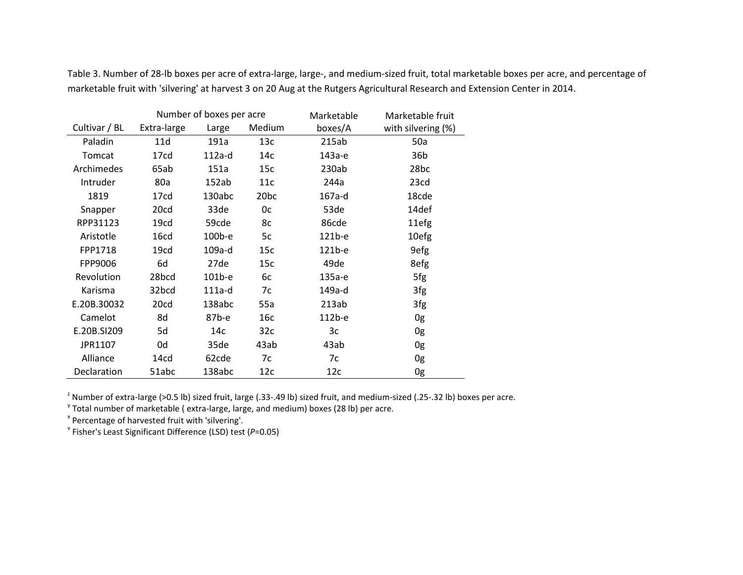|                    |             | Number of boxes per acre |                  | Marketable | Marketable fruit   |
|--------------------|-------------|--------------------------|------------------|------------|--------------------|
| Cultivar / BL      | Extra-large | Large                    | Medium           | boxes/A    | with silvering (%) |
| Paladin            | 11d         | 191a                     | 13c              | 215ab      | 50a                |
| Tomcat             | 17cd        | $112a-d$                 | 14с              | 143а-е     | 36b                |
| Archimedes         | 65ab        | 151a                     | 15c              | 230ab      | 28bc               |
| Intruder           | 80a         | 152ab                    | 11c              | 244a       | 23cd               |
| 1819               | 17cd        | 130abc                   | 20 <sub>bc</sub> | 167a-d     | 18cde              |
| Snapper            | 20cd        | 33de                     | 0c               | 53de       | 14def              |
| RPP31123           | 19cd        | 59cde                    | 8c               | 86cde      | 11efg              |
| Aristotle          | 16cd        | 100b-e                   | 5c               | 121b-e     | 10efg              |
| FPP1718            | 19cd        | 109a-d                   | 15c              | 121b-e     | 9efg               |
| FPP9006            | 6d          | 27de                     | 15c              | 49de       | 8efg               |
| Revolution         | 28bcd       | $101b-e$                 | 6c               | 135а-е     | 5fg                |
| Karisma            | 32bcd       | 111a-d                   | 7c               | 149a-d     | 3fg                |
| E.20B.30032        | 20cd        | 138abc                   | 55a              | 213ab      | 3fg                |
| Camelot            | 8d          | 87b-е                    | 16c              | 112b-e     | 0g                 |
| E.20B.SI209        | 5d          | 14c                      | 32c              | Зc         | 0g                 |
| JPR1107            | 0d          | 35de                     | 43ab             | 43ab       | 0g                 |
| Alliance           | 14cd        | 62cde                    | 7c               | 7c         | 0g                 |
| <b>Declaration</b> | 51abc       | 138abc                   | 12c              | 12c        | 0g                 |

Table 3. Number of 28-lb boxes per acre of extra-large, large-, and medium-sized fruit, total marketable boxes per acre, and percentage of marketable fruit with 'silvering' at harvest 3 on 20 Aug at the Rutgers Agricultural Research and Extension Center in 2014.

<sup>z</sup> Number of extra-large (>0.5 lb) sized fruit, large (.33-.49 lb) sized fruit, and medium-sized (.25-.32 lb) boxes per acre.<br><sup>y</sup> Total number of marketable ( extra-large, large, and medium) boxes (28 lb) per acre.<br><sup>x</sup> Pe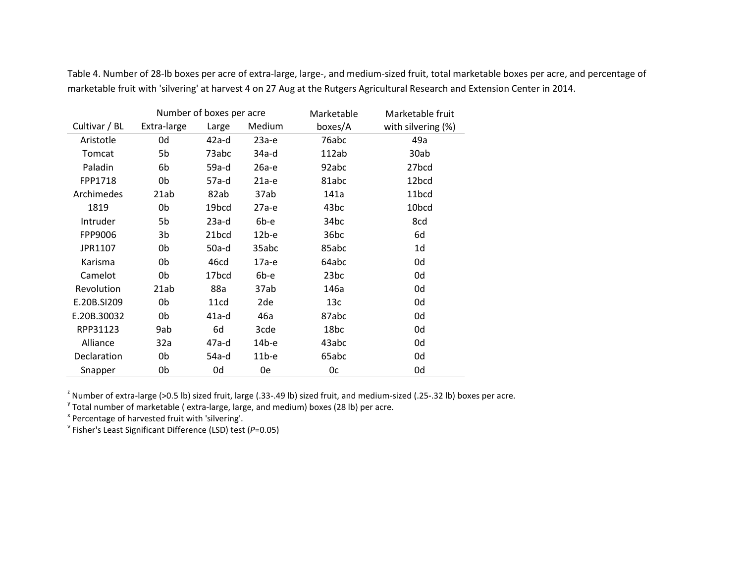|               |             | Number of boxes per acre |         | Marketable       | Marketable fruit   |
|---------------|-------------|--------------------------|---------|------------------|--------------------|
| Cultivar / BL | Extra-large | Large                    | Medium  | boxes/A          | with silvering (%) |
| Aristotle     | 0d          | $42a-d$                  | $23a-e$ | 76abc            | 49a                |
| Tomcat        | 5b          | 73abc                    | 34a-d   | 112ab            | 30ab               |
| Paladin       | 6b          | 59a-d                    | 26а-е   | 92abc            | 27 <sub>b</sub> cd |
| FPP1718       | 0b          | 57a-d                    | $21a-e$ | 81abc            | 12 <sub>bcd</sub>  |
| Archimedes    | 21ab        | 82ab                     | 37ab    | 141a             | 11bcd              |
| 1819          | 0b          | 19bcd                    | $27a-e$ | 43 <sub>bc</sub> | 10bcd              |
| Intruder      | 5b          | $23a-d$                  | 6b-e    | 34bc             | 8cd                |
| FPP9006       | 3b          | 21 <sub>bcd</sub>        | $12b-e$ | 36bc             | 6d                 |
| JPR1107       | 0b          | 50a-d                    | 35abc   | 85abc            | 1d                 |
| Karisma       | 0b          | 46cd                     | 17а-е   | 64abc            | 0d                 |
| Camelot       | 0b          | 17 <sub>bcd</sub>        | 6b-e    | 23bc             | 0d                 |
| Revolution    | 21ab        | 88a                      | 37ab    | 146a             | 0d                 |
| E.20B.SI209   | 0b          | 11 <sub>cd</sub>         | 2de     | 13c              | 0d                 |
| E.20B.30032   | 0b          | 41a-d                    | 46a     | 87abc            | 0d                 |
| RPP31123      | 9ab         | 6d                       | 3cde    | 18bc             | 0d                 |
| Alliance      | 32a         | 47a-d                    | $14b-e$ | 43abc            | 0d                 |
| Declaration   | 0b          | 54a-d                    | $11b-e$ | 65abc            | 0d                 |
| Snapper       | 0b          | 0d                       | 0e      | 0c               | 0d                 |

Table 4. Number of 28-lb boxes per acre of extra-large, large-, and medium-sized fruit, total marketable boxes per acre, and percentage of marketable fruit with 'silvering' at harvest 4 on 27 Aug at the Rutgers Agricultural Research and Extension Center in 2014.

<sup>2</sup> Number of extra-large (>0.5 lb) sized fruit, large (.33-.49 lb) sized fruit, and medium-sized (.25-.32 lb) boxes per acre.

 $\text{Y}$  Total number of marketable (extra-large, large, and medium) boxes (28 lb) per acre.<br>  $\text{X}$  Percentage of harvested fruit with 'silvering'.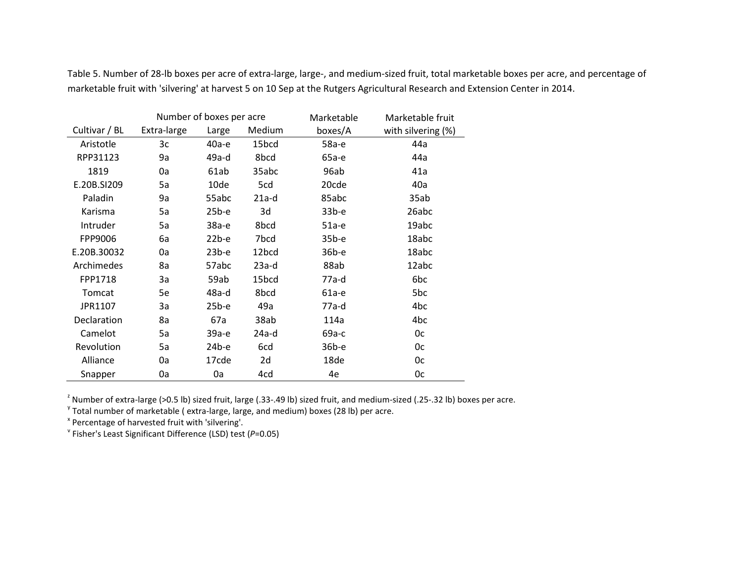|                    |             | Number of boxes per acre |         | Marketable | Marketable fruit   |
|--------------------|-------------|--------------------------|---------|------------|--------------------|
| Cultivar / BL      | Extra-large | Large                    | Medium  | boxes/A    | with silvering (%) |
| Aristotle          | 3c          | 40а-е                    | 15bcd   | 58а-е      | 44a                |
| RPP31123           | 9a          | 49a-d                    | 8bcd    | 65а-е      | 44a                |
| 1819               | 0a          | 61ab                     | 35abc   | 96ab       | 41a                |
| E.20B.SI209        | 5a          | 10de                     | 5cd     | 20cde      | 40a                |
| Paladin            | 9a          | 55abc                    | $21a-d$ | 85abc      | 35ab               |
| Karisma            | 5a          | $25b-e$                  | 3d      | $33b-e$    | 26abc              |
| Intruder           | 5a          | 38а-е                    | 8bcd    | $51a-e$    | 19abc              |
| FPP9006            | 6а          | $22b-e$                  | 7bcd    | $35b-e$    | 18abc              |
| E.20B.30032        | 0a          | $23b-e$                  | 12bcd   | 36b-e      | 18abc              |
| Archimedes         | 8a          | 57abc                    | $23a-d$ | 88ab       | 12abc              |
| FPP1718            | За          | 59ab                     | 15bcd   | 77a-d      | 6bc                |
| Tomcat             | 5e          | 48a-d                    | 8bcd    | $61a-e$    | 5bc                |
| JPR1107            | За          | $25b-e$                  | 49a     | $77a-d$    | 4bc                |
| <b>Declaration</b> | 8a          | 67a                      | 38ab    | 114a       | 4bc                |
| Camelot            | 5a          | 39а-е                    | 24a-d   | 69a-c      | 0c                 |
| Revolution         | 5a          | $24b-e$                  | 6cd     | 36b-e      | 0c                 |
| Alliance           | 0a          | 17cde                    | 2d      | 18de       | 0c                 |
| Snapper            | 0a          | 0a                       | 4cd     | 4e         | 0c                 |

Table 5. Number of 28-lb boxes per acre of extra-large, large-, and medium-sized fruit, total marketable boxes per acre, and percentage of marketable fruit with 'silvering' at harvest 5 on 10 Sep at the Rutgers Agricultural Research and Extension Center in 2014.

<sup>z</sup> Number of extra-large (>0.5 lb) sized fruit, large (.33-.49 lb) sized fruit, and medium-sized (.25-.32 lb) boxes per acre.<br><sup>y</sup> Total number of marketable ( extra-large, large, and medium) boxes (28 lb) per acre.<br><sup>x</sup> Pe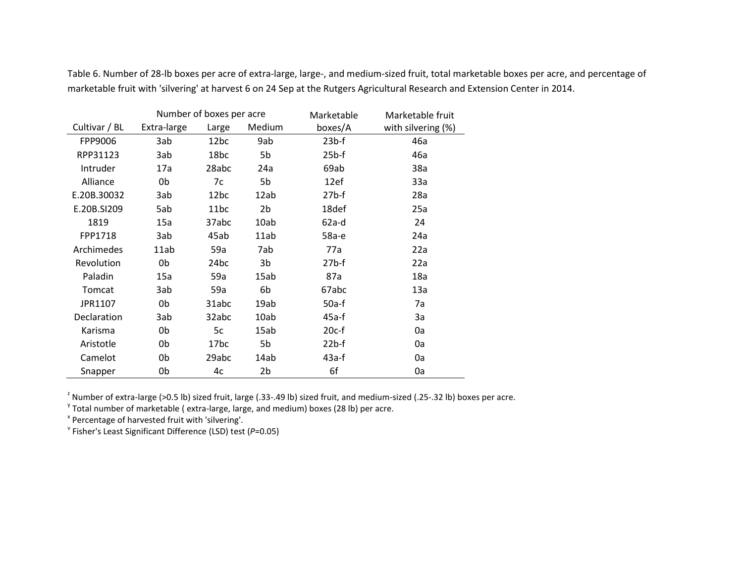|                    |             | Number of boxes per acre |        | Marketable | Marketable fruit   |
|--------------------|-------------|--------------------------|--------|------------|--------------------|
| Cultivar / BL      | Extra-large | Large                    | Medium | boxes/A    | with silvering (%) |
| FPP9006            | 3ab         | 12 <sub>bc</sub>         | 9ab    | $23b$ -f   | 46a                |
| RPP31123           | 3ab         | 18bc                     | 5b     | $25b$ -f   | 46a                |
| Intruder           | 17a         | 28abc                    | 24a    | 69ab       | 38a                |
| Alliance           | 0b          | 7c                       | 5b     | 12ef       | 33a                |
| E.20B.30032        | 3ab         | 12bc                     | 12ab   | $27b$ -f   | 28a                |
| E.20B.SI209        | 5ab         | 11bc                     | 2b     | 18def      | 25a                |
| 1819               | 15a         | 37abc                    | 10ab   | $62a-d$    | 24                 |
| FPP1718            | 3ab         | 45ab                     | 11ab   | 58а-е      | 24a                |
| Archimedes         | 11ab        | 59a                      | 7ab    | 77a        | 22a                |
| Revolution         | 0b          | 24bc                     | 3b     | $27b$ -f   | 22a                |
| Paladin            | 15a         | 59a                      | 15ab   | 87a        | 18a                |
| Tomcat             | 3ab         | 59a                      | 6b     | 67abc      | 13a                |
| JPR1107            | 0b          | 31abc                    | 19ab   | $50a-f$    | 7a                 |
| <b>Declaration</b> | 3ab         | 32abc                    | 10ab   | 45a-f      | 3a                 |
| Karisma            | 0b          | 5c                       | 15ab   | $20c-f$    | 0a                 |
| Aristotle          | 0b          | 17bc                     | 5b     | $22b$ -f   | 0a                 |
| Camelot            | 0b          | 29abc                    | 14ab   | $43a-f$    | 0a                 |
| Snapper            | 0b          | 4c                       | 2b     | 6f         | 0a                 |

Table 6. Number of 28-lb boxes per acre of extra-large, large-, and medium-sized fruit, total marketable boxes per acre, and percentage of marketable fruit with 'silvering' at harvest 6 on 24 Sep at the Rutgers Agricultural Research and Extension Center in 2014.

<sup>2</sup> Number of extra-large (>0.5 lb) sized fruit, large (.33-.49 lb) sized fruit, and medium-sized (.25-.32 lb) boxes per acre.

Total number of marketable (extra-large, large, and medium) boxes (28 lb) per acre.<br>  $x^2$  Percentage of harvested fruit with 'silvering'.<br>  $y^2$  Fisher's Least Significant Difference (LSD) test (P=0.05)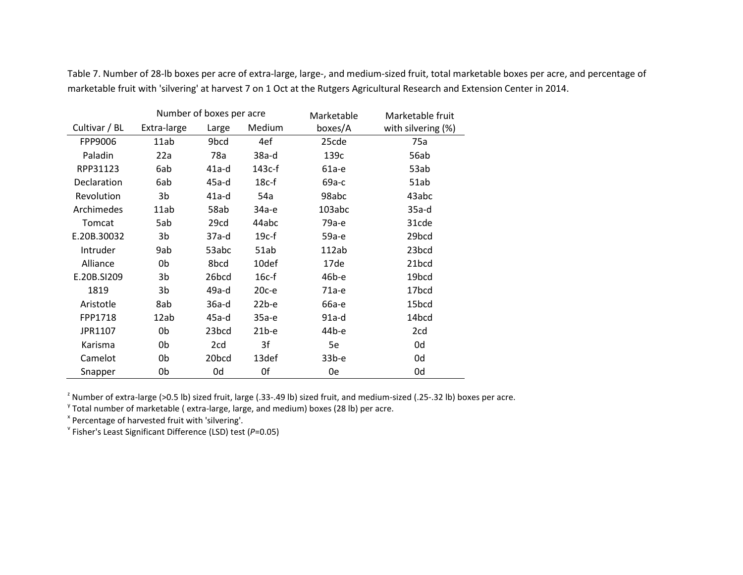|               |             | Number of boxes per acre |          | Marketable | Marketable fruit   |
|---------------|-------------|--------------------------|----------|------------|--------------------|
| Cultivar / BL | Extra-large | Large                    | Medium   | boxes/A    | with silvering (%) |
| FPP9006       | 11ab        | 9bcd                     | 4ef      | 25cde      | 75a                |
| Paladin       | 22a         | 78a                      | $38a-d$  | 139c       | 56ab               |
| RPP31123      | 6ab         | $41a-d$                  | $143c-f$ | 61а-е      | 53ab               |
| Declaration   | 6ab         | $45a-d$                  | $18c-f$  | 69а-с      | 51ab               |
| Revolution    | 3b          | $41a-d$                  | 54a      | 98abc      | 43abc              |
| Archimedes    | 11ab        | 58ab                     | 34а-е    | 103abc     | 35a-d              |
| Tomcat        | 5ab         | 29cd                     | 44abc    | 79а-е      | 31cde              |
| E.20B.30032   | 3b          | 37a-d                    | $19c-f$  | 59а-е      | 29bcd              |
| Intruder      | 9ab         | 53abc                    | 51ab     | 112ab      | 23bcd              |
| Alliance      | 0b          | 8bcd                     | 10def    | 17de       | 21bcd              |
| E.20B.SI209   | 3b          | 26bcd                    | $16c-f$  | 46b-е      | 19bcd              |
| 1819          | 3b          | 49a-d                    | $20c-e$  | 71а-е      | 17bcd              |
| Aristotle     | 8ab         | $36a-d$                  | $22b-e$  | 66а-е      | 15bcd              |
| FPP1718       | 12ab        | $45a-d$                  | 35а-е    | $91a-d$    | 14bcd              |
| JPR1107       | 0b          | 23 <sub>bcd</sub>        | $21b-e$  | 44b-e      | 2cd                |
| Karisma       | 0b          | 2cd                      | 3f       | 5e         | 0d                 |
| Camelot       | 0b          | 20bcd                    | 13def    | $33b-e$    | 0d                 |
| Snapper       | 0b          | 0d                       | 0f       | 0e         | 0d                 |

Table 7. Number of 28-lb boxes per acre of extra-large, large-, and medium-sized fruit, total marketable boxes per acre, and percentage of marketable fruit with 'silvering' at harvest 7 on 1 Oct at the Rutgers Agricultural Research and Extension Center in 2014.

<sup>z</sup> Number of extra-large (>0.5 lb) sized fruit, large (.33-.49 lb) sized fruit, and medium-sized (.25-.32 lb) boxes per acre.<br><sup>y</sup> Total number of marketable ( extra-large, large, and medium) boxes (28 lb) per acre.<br><sup>x</sup> Pe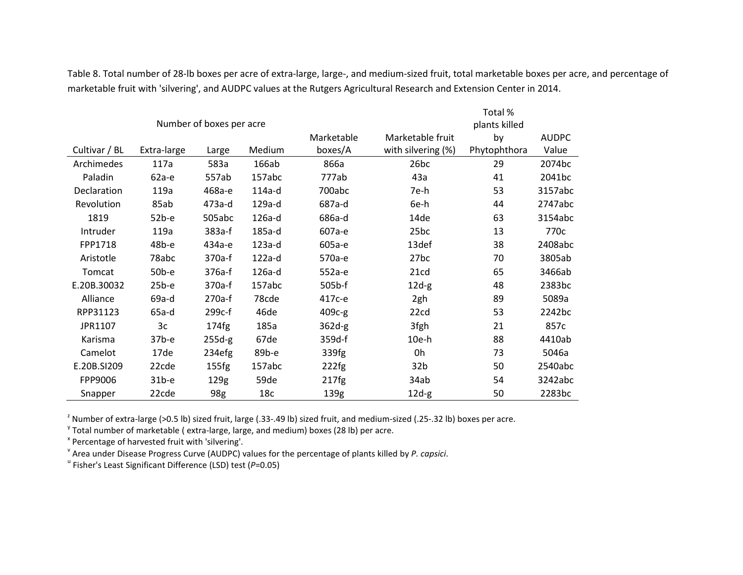|               |             |                          |                 |                  |                    | Total %       |              |
|---------------|-------------|--------------------------|-----------------|------------------|--------------------|---------------|--------------|
|               |             | Number of boxes per acre |                 |                  |                    | plants killed |              |
|               |             |                          |                 | Marketable       | Marketable fruit   | by            | <b>AUDPC</b> |
| Cultivar / BL | Extra-large | Large                    | Medium          | boxes/A          | with silvering (%) | Phytophthora  | Value        |
| Archimedes    | 117a        | 583a                     | 166ab           | 866a             | 26bc               | 29            | 2074bc       |
| Paladin       | $62a-e$     | 557ab                    | 157abc          | 777ab            | 43a                | 41            | 2041bc       |
| Declaration   | 119a        | 468а-е                   | 114a-d          | 700abc           | 7e-h               | 53            | 3157abc      |
| Revolution    | 85ab        | 473a-d                   | 129a-d          | 687a-d           | 6e-h               | 44            | 2747abc      |
| 1819          | $52b-e$     | 505abc                   | 126a-d          | 686a-d           | 14de               | 63            | 3154abc      |
| Intruder      | 119a        | 383a-f                   | 185a-d          | 607а-е           | 25bc               | 13            | 770c         |
| FPP1718       | 48b-e       | 434а-е                   | 123a-d          | 605a-e           | 13def              | 38            | 2408abc      |
| Aristotle     | 78abc       | 370a-f                   | 122a-d          | 570a-e           | 27 <sub>bc</sub>   | 70            | 3805ab       |
| Tomcat        | $50b-e$     | 376a-f                   | 126a-d          | 552а-е           | 21cd               | 65            | 3466ab       |
| E.20B.30032   | $25b-e$     | 370a-f                   | 157abc          | 505b-f           | $12d-g$            | 48            | 2383bc       |
| Alliance      | 69a-d       | 270a-f                   | 78cde           | 417с-е           | 2gh                | 89            | 5089a        |
| RPP31123      | $65a-d$     | 299c-f                   | 46de            | 409c-g           | 22cd               | 53            | 2242bc       |
| JPR1107       | 3c          | 174fg                    | 185a            | $362d-g$         | 3fgh               | 21            | 857c         |
| Karisma       | $37b-e$     | $255d-g$                 | 67de            | 359d-f           | $10e-h$            | 88            | 4410ab       |
| Camelot       | 17de        | 234efg                   | 89b-e           | 339fg            | 0h                 | 73            | 5046a        |
| E.20B.SI209   | 22cde       | 155fg                    | 157abc          | 222fg            | 32 <sub>b</sub>    | 50            | 2540abc      |
| FPP9006       | $31b-e$     | 129g                     | 59de            | 217fg            | 34ab               | 54            | 3242abc      |
| Snapper       | 22cde       | 98g                      | 18 <sub>c</sub> | 139 <sub>g</sub> | $12d-g$            | 50            | 2283bc       |

Table 8. Total number of 28-lb boxes per acre of extra-large, large-, and medium-sized fruit, total marketable boxes per acre, and percentage of marketable fruit with 'silvering', and AUDPC values at the Rutgers Agricultural Research and Extension Center in 2014.

<sup>2</sup> Number of extra-large (>0.5 lb) sized fruit, large (.33-.49 lb) sized fruit, and medium-sized (.25-.32 lb) boxes per acre.

<sup>y</sup> Total number of marketable (extra-large, large, and medium) boxes (28 lb) per acre.<br>
<sup>x</sup> Percentage of harvested fruit with 'silvering'.<br>
<sup>x</sup> Area under Disease Progress Curve (AUDPC) values for the percentage of plan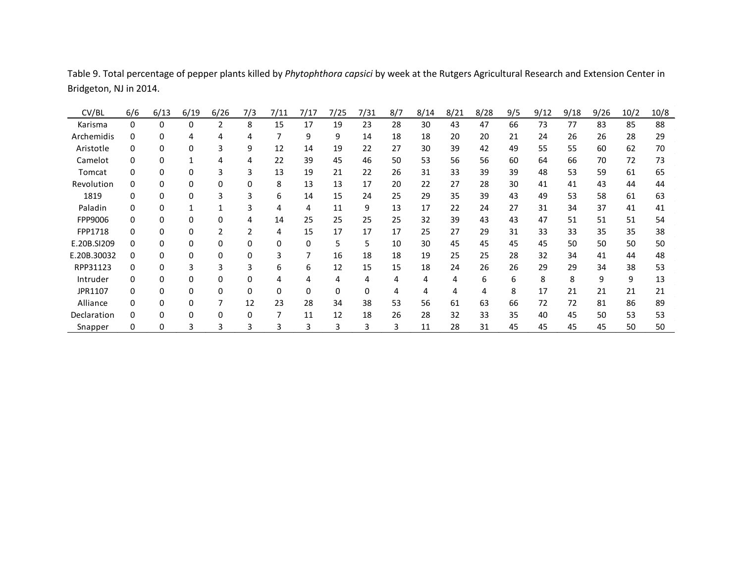| CV/BL       | 6/6 | 6/13 | 6/19 | 6/26 | 7/3 | 7/11 | 7/17 | 7/25 | 7/31 | 8/7 | 8/14 | 8/21 | 8/28 | 9/5 | 9/12 | 9/18 | 9/26 | 10/2 | 10/8 |
|-------------|-----|------|------|------|-----|------|------|------|------|-----|------|------|------|-----|------|------|------|------|------|
| Karisma     | 0   | 0    | 0    | 2    | 8   | 15   | 17   | 19   | 23   | 28  | 30   | 43   | 47   | 66  | 73   | 77   | 83   | 85   | 88   |
| Archemidis  | 0   | 0    |      | 4    | 4   |      | 9    | 9    | 14   | 18  | 18   | 20   | 20   | 21  | 24   | 26   | 26   | 28   | 29   |
| Aristotle   | 0   | 0    |      | 3    | 9   | 12   | 14   | 19   | 22   | 27  | 30   | 39   | 42   | 49  | 55   | 55   | 60   | 62   | 70   |
| Camelot     | 0   |      |      | 4    | 4   | 22   | 39   | 45   | 46   | 50  | 53   | 56   | 56   | 60  | 64   | 66   | 70   | 72   | 73   |
| Tomcat      | 0   |      |      |      |     | 13   | 19   | 21   | 22   | 26  | 31   | 33   | 39   | 39  | 48   | 53   | 59   | 61   | 65   |
| Revolution  | 0   |      |      | 0    |     | 8    | 13   | 13   | 17   | 20  | 22   | 27   | 28   | 30  | 41   | 41   | 43   | 44   | 44   |
| 1819        |     |      |      |      |     | 6    | 14   | 15   | 24   | 25  | 29   | 35   | 39   | 43  | 49   | 53   | 58   | 61   | 63   |
| Paladin     |     |      |      |      |     |      |      | 11   | 9    | 13  | 17   | 22   | 24   | 27  | 31   | 34   | 37   | 41   | 41   |
| FPP9006     |     |      |      |      |     | 14   | 25   | 25   | 25   | 25  | 32   | 39   | 43   | 43  | 47   | 51   | 51   | 51   | 54   |
| FPP1718     | n.  |      |      |      |     | 4    | 15   | 17   | 17   | 17  | 25   | 27   | 29   | 31  | 33   | 33   | 35   | 35   | 38   |
| E.20B.SI209 | 0   |      |      | 0    |     | 0    |      | 5    | 5.   | 10  | 30   | 45   | 45   | 45  | 45   | 50   | 50   | 50   | 50   |
| E.20B.30032 | 0   |      |      | 0    |     | 3    |      | 16   | 18   | 18  | 19   | 25   | 25   | 28  | 32   | 34   | 41   | 44   | 48   |
| RPP31123    | 0   | U    |      |      |     | 6.   | 6    | 12   | 15   | 15  | 18   | 24   | 26   | 26  | 29   | 29   | 34   | 38   | 53   |
| Intruder    | U   | U    |      | 0    |     |      |      | 4    | 4    | 4   | 4    | 4    | 6    | 6   | 8    | 8    | 9    | 9    | 13   |
| JPR1107     | U   |      |      | 0    | 0   | 0    |      |      |      | 4   | 4    |      |      | 8   | 17   | 21   | 21   | 21   | 21   |
| Alliance    | U   |      |      |      | 12  | 23   | 28   | 34   | 38   | 53  | 56   | 61   | 63   | 66  | 72   | 72   | 81   | 86   | 89   |
| Declaration | U   |      |      | 0    | 0   | 7    | 11   | 12   | 18   | 26  | 28   | 32   | 33   | 35  | 40   | 45   | 50   | 53   | 53   |
| Snapper     | 0   | 0    |      |      |     | 3    | 3    | 3    |      | 3   | 11   | 28   | 31   | 45  | 45   | 45   | 45   | 50   | 50   |

Table 9. Total percentage of pepper plants killed by *Phytophthora capsici* by week at the Rutgers Agricultural Research and Extension Center in Bridgeton, NJ in 2014.